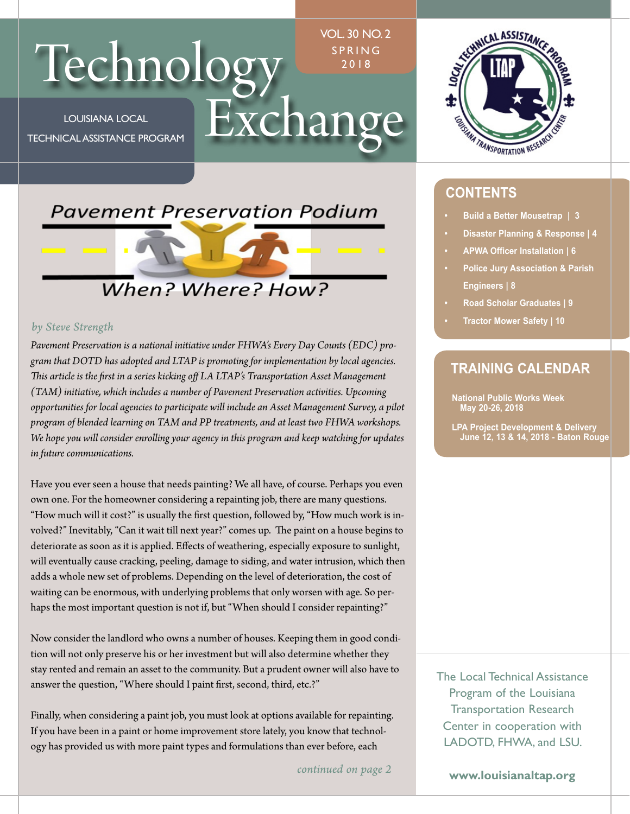# Technology FRANGE

LOUISIANA LOCAL TECHNICAL ASSISTANCE PROGRAM

•

VOL. 30 NO. 2 PRING 2018



### **CONTENTS**

- **Build a Better Mousetrap | 3**
- **Disaster Planning & Response | 4**
- **APWA Officer Installation | 6**
- **Police Jury Association & Parish Engineers | 8**
- **Road Scholar Graduates | 9**
- **Tractor Mower Safety | 10**

### **TRAINING CALENDAR**

**National Public Works Week May 20-26, 2018** 

**LPA Project Development & Delivery June 12, 13 & 14, 2018 - Baton Rouge** 

### *by Steve Strength*

*Pavement Preservation is a national initiative under FHWA's Every Day Counts (EDC) program that DOTD has adopted and LTAP is promoting for implementation by local agencies. Tis article is the frst in a series kicking of LA LTAP's Transportation Asset Management (TAM) initiative, which includes a number of Pavement Preservation activities. Upcoming opportunities for local agencies to participate will include an Asset Management Survey, a pilot program of blended learning on TAM and PP treatments, and at least two FHWA workshops. We hope you will consider enrolling your agency in this program and keep watching for updates in future communications.* 

**Pavement Preservation Podium** 

When? Where? How?

Have you ever seen a house that needs painting? We all have, of course. Perhaps you even own one. For the homeowner considering a repainting job, there are many questions. "How much will it cost?" is usually the frst question, followed by, "How much work is involved?" Inevitably, "Can it wait till next year?" comes up. The paint on a house begins to deteriorate as soon as it is applied. Efects of weathering, especially exposure to sunlight, will eventually cause cracking, peeling, damage to siding, and water intrusion, which then adds a whole new set of problems. Depending on the level of deterioration, the cost of waiting can be enormous, with underlying problems that only worsen with age. So perhaps the most important question is not if, but "When should I consider repainting?"

Now consider the landlord who owns a number of houses. Keeping them in good condition will not only preserve his or her investment but will also determine whether they stay rented and remain an asset to the community. But a prudent owner will also have to answer the question, "Where should I paint frst, second, third, etc.?"

Finally, when considering a paint job, you must look at options available for repainting. If you have been in a paint or home improvement store lately, you know that technology has provided us with more paint types and formulations than ever before, each

*continued on page 2* 

The Local Technical Assistance Program of the Louisiana Transportation Research Center in cooperation with LADOTD, FHWA, and LSU.

**www.louisianaltap.org**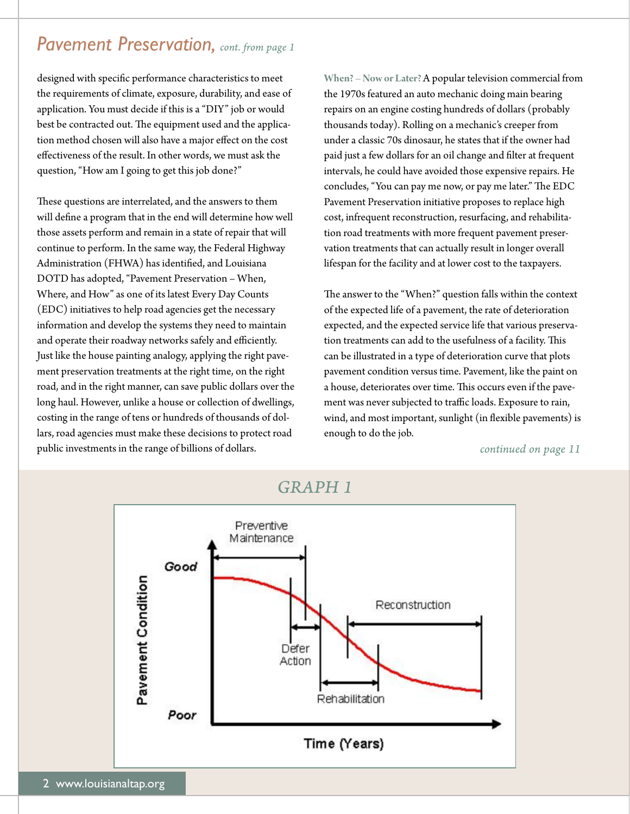### *Pavement Preservation, cont. from page 1*

designed with specifc performance characteristics to meet the requirements of climate, exposure, durability, and ease of application. You must decide if this is a "DIY" job or would best be contracted out. The equipment used and the application method chosen will also have a major efect on the cost efectiveness of the result. In other words, we must ask the question, "How am I going to get this job done?"

These questions are interrelated, and the answers to them will defne a program that in the end will determine how well those assets perform and remain in a state of repair that will continue to perform. In the same way, the Federal Highway Administration (FHWA) has identifed, and Louisiana DOTD has adopted, "Pavement Preservation – When, Where, and How" as one of its latest Every Day Counts (EDC) initiatives to help road agencies get the necessary information and develop the systems they need to maintain and operate their roadway networks safely and efficiently. Just like the house painting analogy, applying the right pavement preservation treatments at the right time, on the right road, and in the right manner, can save public dollars over the long haul. However, unlike a house or collection of dwellings, costing in the range of tens or hundreds of thousands of dollars, road agencies must make these decisions to protect road public investments in the range of billions of dollars.

**When? – Now or Later?** A popular television commercial from the 1970s featured an auto mechanic doing main bearing repairs on an engine costing hundreds of dollars (probably thousands today). Rolling on a mechanic's creeper from under a classic 70s dinosaur, he states that if the owner had paid just a few dollars for an oil change and flter at frequent intervals, he could have avoided those expensive repairs. He concludes, "You can pay me now, or pay me later." The EDC Pavement Preservation initiative proposes to replace high cost, infrequent reconstruction, resurfacing, and rehabilitation road treatments with more frequent pavement preservation treatments that can actually result in longer overall lifespan for the facility and at lower cost to the taxpayers.

The answer to the "When?" question falls within the context of the expected life of a pavement, the rate of deterioration expected, and the expected service life that various preservation treatments can add to the usefulness of a facility. This can be illustrated in a type of deterioration curve that plots pavement condition versus time. Pavement, like the paint on a house, deteriorates over time. This occurs even if the pavement was never subjected to traffic loads. Exposure to rain, wind, and most important, sunlight (in fexible pavements) is enough to do the job.

*continued on page 11* 



*GRAPH 1*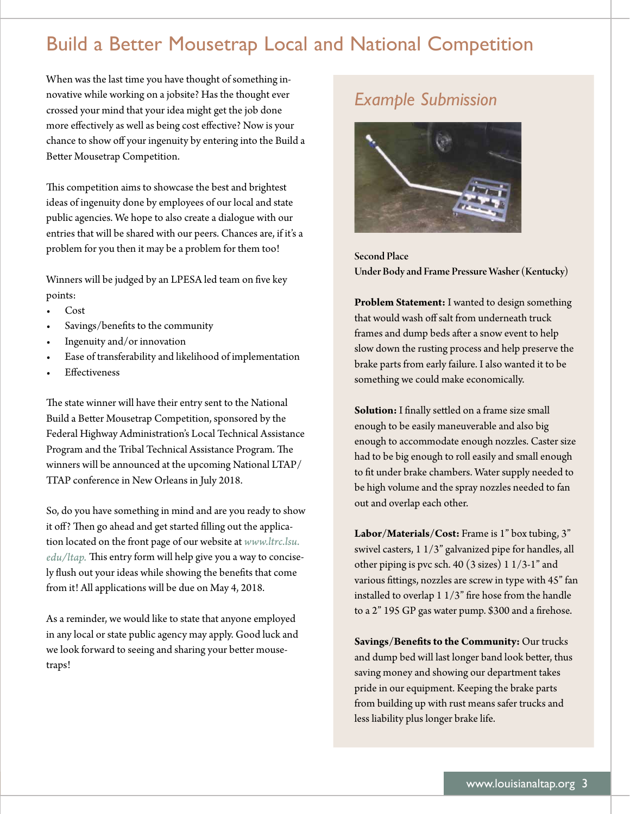# Build a Better Mousetrap Local and National Competition

When was the last time you have thought of something innovative while working on a jobsite? Has the thought ever crossed your mind that your idea might get the job done more efectively as well as being cost efective? Now is your chance to show off your ingenuity by entering into the Build a Better Mousetrap Competition.

This competition aims to showcase the best and brightest ideas of ingenuity done by employees of our local and state public agencies. We hope to also create a dialogue with our entries that will be shared with our peers. Chances are, if it's a problem for you then it may be a problem for them too!

Winners will be judged by an LPESA led team on fve key points:

- Cost
- Savings/benefits to the community
- Ingenuity and/or innovation
- Ease of transferability and likelihood of implementation
- **Effectiveness**

The state winner will have their entry sent to the National Build a Beter Mousetrap Competition, sponsored by the Federal Highway Administration's Local Technical Assistance Program and the Tribal Technical Assistance Program. The winners will be announced at the upcoming National LTAP/ TAP conference in New Orleans in July 2018.

So, do you have something in mind and are you ready to show it off? Then go ahead and get started filling out the application located on the front page of our website at *[www.ltrc.lsu.](www.ltrc.lsu) edu/ltap*. This entry form will help give you a way to concisely fush out your ideas while showing the benefts that come from it! All applications will be due on May 4, 2018.

As a reminder, we would like to state that anyone employed in any local or state public agency may apply. Good luck and we look forward to seeing and sharing your better mousetraps!

## *Example Submission*



Second Place Under Body and Frame Pressure Washer (Kentucky)

**Problem Statement:** I wanted to design something that would wash off salt from underneath truck frames and dump beds after a snow event to help slow down the rusting process and help preserve the brake parts from early failure. I also wanted it to be something we could make economically.

**Solution:** I fnally setled on a frame size small enough to be easily maneuverable and also big enough to accommodate enough nozzles. Caster size had to be big enough to roll easily and small enough to ft under brake chambers. Water supply needed to be high volume and the spray nozzles needed to fan out and overlap each other.

**Labor/Materials/Cost:** Frame is 1" box tubing, 3" swivel casters, 1 1/3" galvanized pipe for handles, all other piping is pvc sch. 40 (3 sizes) 1 1/3-1" and various fittings, nozzles are screw in type with 45" fan installed to overlap 1 1/3" fre hose from the handle to a 2" 195 GP gas water pump. \$300 and a frehose.

**Savings/Benefts to the Community:** Our trucks and dump bed will last longer band look better, thus saving money and showing our department takes pride in our equipment. Keeping the brake parts from building up with rust means safer trucks and less liability plus longer brake life.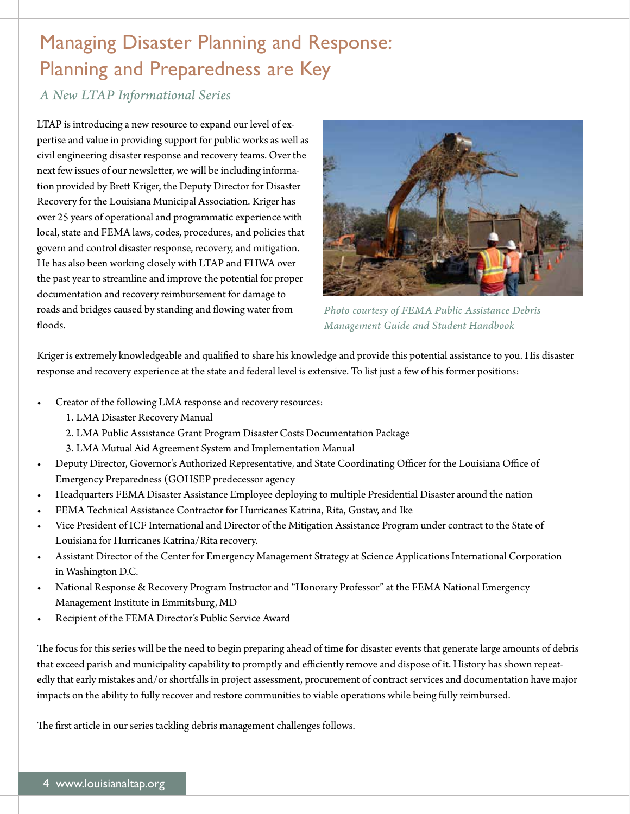# Managing Disaster Planning and Response: Planning and Preparedness are Key

### *A New LTAP Informational Series*

LTAP is introducing a new resource to expand our level of expertise and value in providing support for public works as well as civil engineering disaster response and recovery teams. Over the next few issues of our newsleter, we will be including information provided by Brett Kriger, the Deputy Director for Disaster Recovery for the Louisiana Municipal Association. Kriger has over 25 years of operational and programmatic experience with local, state and FEMA laws, codes, procedures, and policies that govern and control disaster response, recovery, and mitigation. He has also been working closely with LTAP and FHWA over the past year to streamline and improve the potential for proper documentation and recovery reimbursement for damage to roads and bridges caused by standing and flowing water from floods.



*Photo courtesy of FEMA Public Assistance Debris Management Guide and Student Handbook* 

Kriger is extremely knowledgeable and qualifed to share his knowledge and provide this potential assistance to you. His disaster response and recovery experience at the state and federal level is extensive. To list just a few of his former positions:

- Creator of the following LMA response and recovery resources:
	- 1. LMA Disaster Recovery Manual
	- 2. LMA Public Assistance Grant Program Disaster Costs Documentation Package
	- 3. LMA Mutual Aid Agreement System and Implementation Manual
- Deputy Director, Governor's Authorized Representative, and State Coordinating Officer for the Louisiana Office of Emergency Preparedness (GOHSEP predecessor agency
- Headquarters FEMA Disaster Assistance Employee deploying to multiple Presidential Disaster around the nation
- FEMA Technical Assistance Contractor for Hurricanes Katrina, Rita, Gustav, and Ike
- Vice President of ICF International and Director of the Mitigation Assistance Program under contract to the State of Louisiana for Hurricanes Katrina/Rita recovery.
- Assistant Director of the Center for Emergency Management Strategy at Science Applications International Corporation in Washington D.C.
- National Response & Recovery Program Instructor and "Honorary Professor" at the FEMA National Emergency Management Institute in Emmitsburg, MD
- Recipient of the FEMA Director's Public Service Award

The focus for this series will be the need to begin preparing ahead of time for disaster events that generate large amounts of debris that exceed parish and municipality capability to promptly and efficiently remove and dispose of it. History has shown repeatedly that early mistakes and/or shortfalls in project assessment, procurement of contract services and documentation have major impacts on the ability to fully recover and restore communities to viable operations while being fully reimbursed.

The first article in our series tackling debris management challenges follows.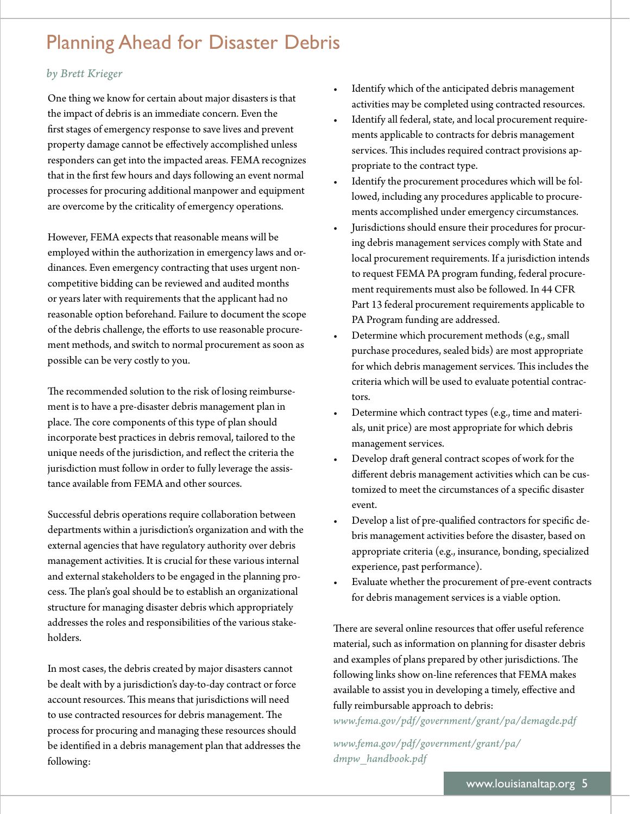# Planning Ahead for Disaster Debris

### *by Brett Krieger*

One thing we know for certain about major disasters is that the impact of debris is an immediate concern. Even the frst stages of emergency response to save lives and prevent property damage cannot be efectively accomplished unless responders can get into the impacted areas. FEMA recognizes that in the frst few hours and days following an event normal processes for procuring additional manpower and equipment are overcome by the criticality of emergency operations.

However, FEMA expects that reasonable means will be employed within the authorization in emergency laws and ordinances. Even emergency contracting that uses urgent noncompetitive bidding can be reviewed and audited months or years later with requirements that the applicant had no reasonable option beforehand. Failure to document the scope of the debris challenge, the eforts to use reasonable procurement methods, and switch to normal procurement as soon as possible can be very costly to you.

The recommended solution to the risk of losing reimbursement is to have a pre-disaster debris management plan in place. The core components of this type of plan should incorporate best practices in debris removal, tailored to the unique needs of the jurisdiction, and refect the criteria the jurisdiction must follow in order to fully leverage the assistance available from FEMA and other sources.

Successful debris operations require collaboration between departments within a jurisdiction's organization and with the external agencies that have regulatory authority over debris management activities. It is crucial for these various internal and external stakeholders to be engaged in the planning process. The plan's goal should be to establish an organizational structure for managing disaster debris which appropriately addresses the roles and responsibilities of the various stakeholders.

In most cases, the debris created by major disasters cannot be dealt with by a jurisdiction's day-to-day contract or force account resources. This means that jurisdictions will need to use contracted resources for debris management. The process for procuring and managing these resources should be identifed in a debris management plan that addresses the following:

- Identify which of the anticipated debris management activities may be completed using contracted resources.
- Identify all federal, state, and local procurement requirements applicable to contracts for debris management services. This includes required contract provisions appropriate to the contract type.
- Identify the procurement procedures which will be followed, including any procedures applicable to procurements accomplished under emergency circumstances.
- Jurisdictions should ensure their procedures for procuring debris management services comply with State and local procurement requirements. If a jurisdiction intends to request FEMA PA program funding, federal procurement requirements must also be followed. In 44 CFR Part 13 federal procurement requirements applicable to PA Program funding are addressed.
- Determine which procurement methods (e.g., small purchase procedures, sealed bids) are most appropriate for which debris management services. This includes the criteria which will be used to evaluate potential contractors.
- Determine which contract types (e.g., time and materials, unit price) are most appropriate for which debris management services.
- Develop draft general contract scopes of work for the diferent debris management activities which can be customized to meet the circumstances of a specifc disaster event.
- Develop a list of pre-qualifed contractors for specifc debris management activities before the disaster, based on appropriate criteria (e.g., insurance, bonding, specialized experience, past performance).
- Evaluate whether the procurement of pre-event contracts for debris management services is a viable option.

There are several online resources that offer useful reference material, such as information on planning for disaster debris and examples of plans prepared by other jurisdictions. The following links show on-line references that FEMA makes available to assist you in developing a timely, efective and fully reimbursable approach to debris:

*<www.fema.gov/pdf/government/grant/pa/demagde.pdf>* 

*<www.fema.gov/pdf/government/grant/pa>/ dmpw\_handbook.pdf*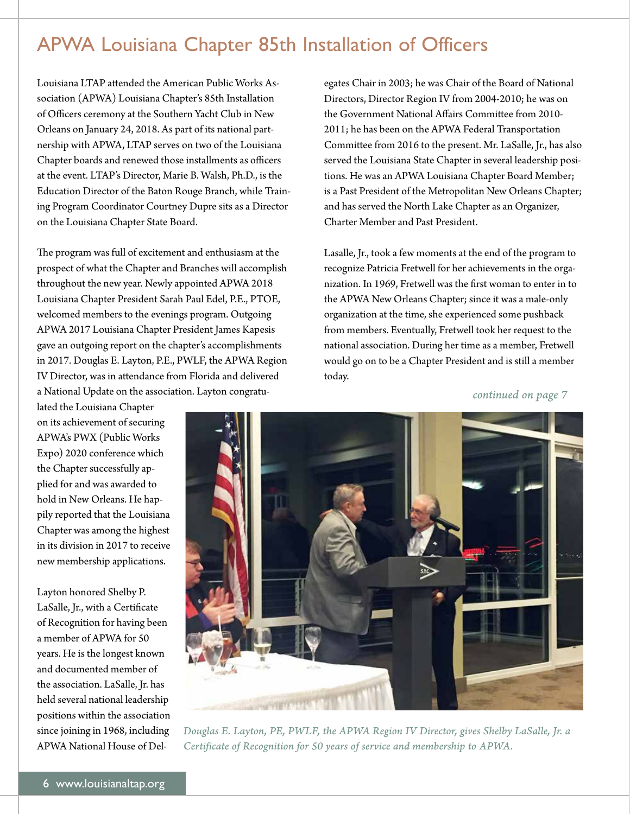# APWA Louisiana Chapter 85th Installation of Officers

Louisiana LTAP atended the American Public Works Association (APWA) Louisiana Chapter's 85th Installation of Officers ceremony at the Southern Yacht Club in New Orleans on January 24, 2018. As part of its national partnership with APWA, LTAP serves on two of the Louisiana Chapter boards and renewed those installments as officers at the event. LTAP's Director, Marie B. Walsh, Ph.D., is the Education Director of the Baton Rouge Branch, while Training Program Coordinator Courtney Dupre sits as a Director on the Louisiana Chapter State Board.

The program was full of excitement and enthusiasm at the prospect of what the Chapter and Branches will accomplish throughout the new year. Newly appointed APWA 2018 Louisiana Chapter President Sarah Paul Edel, P.E., PTOE, welcomed members to the evenings program. Outgoing APWA 2017 Louisiana Chapter President James Kapesis gave an outgoing report on the chapter's accomplishments in 2017. Douglas E. Layton, P.E., PWLF, the APWA Region IV Director, was in atendance from Florida and delivered a National Update on the association. Layton congratuegates Chair in 2003; he was Chair of the Board of National Directors, Director Region IV from 2004-2010; he was on the Government National Afairs Commitee from 2010- 2011; he has been on the APWA Federal Transportation Commitee from 2016 to the present. Mr. LaSalle, Jr., has also served the Louisiana State Chapter in several leadership positions. He was an APWA Louisiana Chapter Board Member; is a Past President of the Metropolitan New Orleans Chapter; and has served the North Lake Chapter as an Organizer, Charter Member and Past President.

Lasalle, Jr., took a few moments at the end of the program to recognize Patricia Fretwell for her achievements in the organization. In 1969, Fretwell was the frst woman to enter in to the APWA New Orleans Chapter; since it was a male-only organization at the time, she experienced some pushback from members. Eventually, Fretwell took her request to the national association. During her time as a member, Fretwell would go on to be a Chapter President and is still a member today.

*continued on page 7* 

lated the Louisiana Chapter on its achievement of securing APWA's PWX (Public Works Expo) 2020 conference which the Chapter successfully applied for and was awarded to hold in New Orleans. He happily reported that the Louisiana Chapter was among the highest in its division in 2017 to receive new membership applications.

Layton honored Shelby P. LaSalle, Jr., with a Certifcate of Recognition for having been a member of APWA for 50 years. He is the longest known and documented member of the association. LaSalle, Jr. has held several national leadership positions within the association since joining in 1968, including APWA National House of Del-



*Douglas E. Layton, PE, PWLF, the APWA Region IV Director, gives Shelby LaSalle, Jr. a Certificate of Recognition for 50 years of service and membership to APWA.*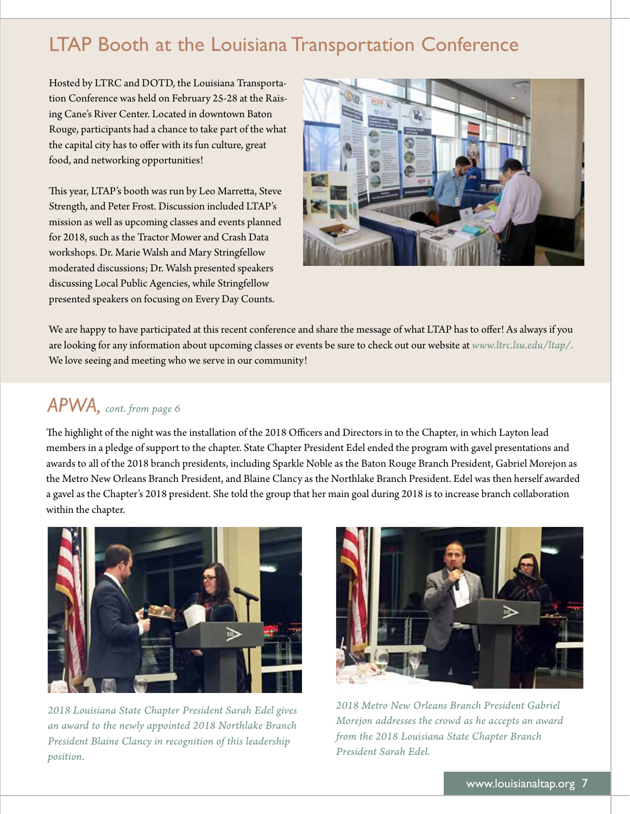# LTAP Booth at the Louisiana Transportation Conference

Hosted by LTRC and DOTD, the Louisiana Transportation Conference was held on February 25-28 at the Raising Cane's River Center. Located in downtown Baton Rouge, participants had a chance to take part of the what the capital city has to offer with its fun culture, great food, and networking opportunities!

This year, LTAP's booth was run by Leo Marretta, Steve Strength, and Peter Frost. Discussion included LTAP's mission as well as upcoming classes and events planned for 2018, such as the Tractor Mower and Crash Data workshops. Dr. Marie Walsh and Mary Stringfellow moderated discussions; Dr. Walsh presented speakers discussing Local Public Agencies, while Stringfellow presented speakers on focusing on Every Day Counts.



We are happy to have participated at this recent conference and share the message of what LTAP has to offer! As always if you are looking for any information about upcoming classes or events be sure to check out our website at *[www.ltrc.lsu.edu/ltap/](www.ltrc.lsu.edu/ltap).*  We love seeing and meeting who we serve in our community!

### *APWA, cont. from page 6*

The highlight of the night was the installation of the 2018 Officers and Directors in to the Chapter, in which Layton lead members in a pledge of support to the chapter. State Chapter President Edel ended the program with gavel presentations and awards to all of the 2018 branch presidents, including Sparkle Noble as the Baton Rouge Branch President, Gabriel Morejon as the Metro New Orleans Branch President, and Blaine Clancy as the Northlake Branch President. Edel was then herself awarded a gavel as the Chapter's 2018 president. She told the group that her main goal during 2018 is to increase branch collaboration within the chapter.



*2018 Louisiana State Chapter President Sarah Edel gives an award to the newly appointed 2018 Northlake Branch President Blaine Clancy in recognition of this leadership position.* 



*2018 Metro New Orleans Branch President Gabriel Morejon addresses the crowd as he accepts an award from the 2018 Louisiana State Chapter Branch President Sarah Edel.*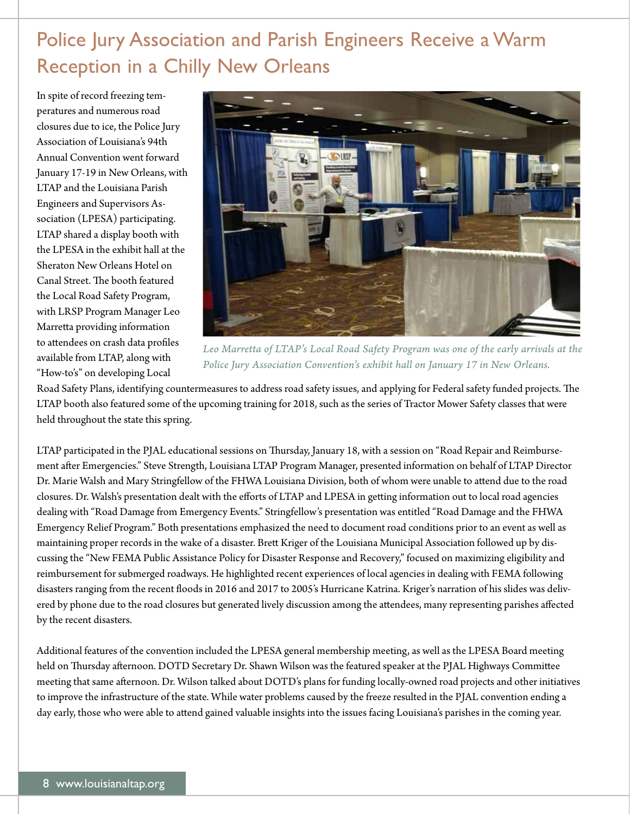# Police Jury Association and Parish Engineers Receive a Warm Reception in a Chilly New Orleans

In spite of record freezing temperatures and numerous road closures due to ice, the Police Jury Association of Louisiana's 94th Annual Convention went forward January 17-19 in New Orleans, with LTAP and the Louisiana Parish Engineers and Supervisors Association (LPESA) participating. LTAP shared a display booth with the LPESA in the exhibit hall at the Sheraton New Orleans Hotel on Canal Street. The booth featured the Local Road Safety Program, with LRSP Program Manager Leo Marretta providing information to attendees on crash data profiles available from LTAP, along with "How-to's" on developing Local



*Leo Marretta of LTAP's Local Road Safety Program was one of the early arrivals at the Police Jury Association Convention's exhibit hall on January 17 in New Orleans.* 

Road Safety Plans, identifying countermeasures to address road safety issues, and applying for Federal safety funded projects. The LTAP booth also featured some of the upcoming training for 2018, such as the series of Tractor Mower Safety classes that were held throughout the state this spring.

LTAP participated in the PJAL educational sessions on Tursday, January 18, with a session on "Road Repair and Reimbursement afer Emergencies." Steve Strength, Louisiana LTAP Program Manager, presented information on behalf of LTAP Director Dr. Marie Walsh and Mary Stringfellow of the FHWA Louisiana Division, both of whom were unable to atend due to the road closures. Dr. Walsh's presentation dealt with the eforts of LTAP and LPESA in geting information out to local road agencies dealing with "Road Damage from Emergency Events." Stringfellow's presentation was entitled "Road Damage and the FHWA Emergency Relief Program." Both presentations emphasized the need to document road conditions prior to an event as well as maintaining proper records in the wake of a disaster. Brett Kriger of the Louisiana Municipal Association followed up by discussing the "New FEMA Public Assistance Policy for Disaster Response and Recovery," focused on maximizing eligibility and reimbursement for submerged roadways. He highlighted recent experiences of local agencies in dealing with FEMA following disasters ranging from the recent foods in 2016 and 2017 to 2005's Hurricane Katrina. Kriger's narration of his slides was delivered by phone due to the road closures but generated lively discussion among the atendees, many representing parishes afected by the recent disasters.

Additional features of the convention included the LPESA general membership meeting, as well as the LPESA Board meeting held on Thursday afternoon. DOTD Secretary Dr. Shawn Wilson was the featured speaker at the PJAL Highways Committee meeting that same afernoon. Dr. Wilson talked about DOTD's plans for funding locally-owned road projects and other initiatives to improve the infrastructure of the state. While water problems caused by the freeze resulted in the PJAL convention ending a day early, those who were able to atend gained valuable insights into the issues facing Louisiana's parishes in the coming year.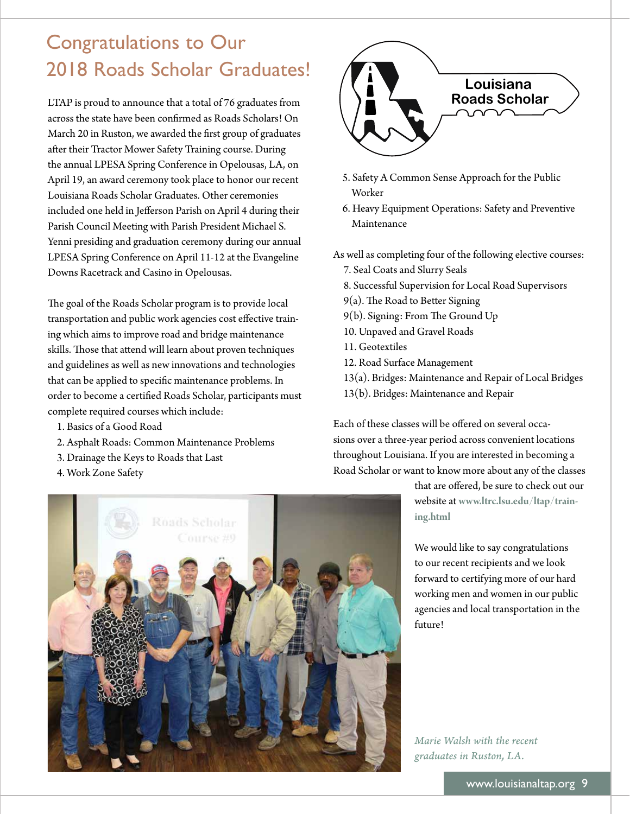# Congratulations to Our 2018 Roads Scholar Graduates!

LTAP is proud to announce that a total of 76 graduates from across the state have been confrmed as Roads Scholars! On March 20 in Ruston, we awarded the frst group of graduates afer their Tractor Mower Safety Training course. During the annual LPESA Spring Conference in Opelousas, LA, on April 19, an award ceremony took place to honor our recent Louisiana Roads Scholar Graduates. Other ceremonies included one held in Jeferson Parish on April 4 during their Parish Council Meeting with Parish President Michael S. Yenni presiding and graduation ceremony during our annual LPESA Spring Conference on April 11-12 at the Evangeline Downs Racetrack and Casino in Opelousas.

The goal of the Roads Scholar program is to provide local transportation and public work agencies cost efective training which aims to improve road and bridge maintenance skills. Those that attend will learn about proven techniques and guidelines as well as new innovations and technologies that can be applied to specifc maintenance problems. In order to become a certifed Roads Scholar, participants must complete required courses which include:

- 1. Basics of a Good Road
- 2. Asphalt Roads: Common Maintenance Problems
- 3. Drainage the Keys to Roads that Last
- 4. Work Zone Safety



- 5. Safety A Common Sense Approach for the Public Worker
- 6. Heavy Equipment Operations: Safety and Preventive Maintenance

As well as completing four of the following elective courses:

- 7. Seal Coats and Slurry Seals
- 8. Successful Supervision for Local Road Supervisors
- $9(a)$ . The Road to Better Signing
- 9(b). Signing: From The Ground Up
- 10. Unpaved and Gravel Roads
- 11. Geotextiles
- 12. Road Surface Management
- 13(a). Bridges: Maintenance and Repair of Local Bridges
- 13(b). Bridges: Maintenance and Repair

Each of these classes will be ofered on several occasions over a three-year period across convenient locations throughout Louisiana. If you are interested in becoming a Road Scholar or want to know more about any of the classes

> that are ofered, be sure to check out our website at **<www.ltrc.lsu.edu/ltap/train>ing.html**

We would like to say congratulations to our recent recipients and we look forward to certifying more of our hard working men and women in our public agencies and local transportation in the future!

*Marie Walsh with the recent graduates in Ruston, LA.* 

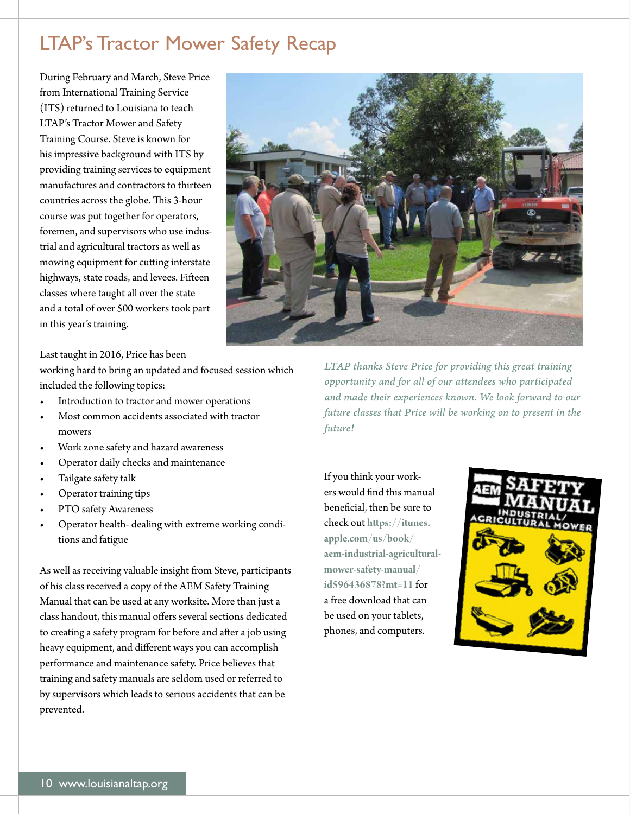# LTAP's Tractor Mower Safety Recap

During February and March, Steve Price from International Training Service (ITS) returned to Louisiana to teach LTAP's Tractor Mower and Safety Training Course. Steve is known for his impressive background with ITS by providing training services to equipment manufactures and contractors to thirteen countries across the globe. This 3-hour course was put together for operators, foremen, and supervisors who use industrial and agricultural tractors as well as mowing equipment for cuting interstate highways, state roads, and levees. Fifeen classes where taught all over the state and a total of over 500 workers took part in this year's training.



Last taught in 2016, Price has been

working hard to bring an updated and focused session which included the following topics:

- Introduction to tractor and mower operations
- Most common accidents associated with tractor mowers
- Work zone safety and hazard awareness
- Operator daily checks and maintenance
- Tailgate safety talk
- Operator training tips
- PTO safety Awareness
- Operator health- dealing with extreme working conditions and fatigue

As well as receiving valuable insight from Steve, participants of his class received a copy of the AEM Safety Training Manual that can be used at any worksite. More than just a class handout, this manual offers several sections dedicated to creating a safety program for before and after a job using heavy equipment, and diferent ways you can accomplish performance and maintenance safety. Price believes that training and safety manuals are seldom used or referred to by supervisors which leads to serious accidents that can be prevented.

*LTAP thanks Steve Price for providing this great training opportunity and for all of our attendees who participated and made their experiences known. We look forward to our future classes that Price will be working on to present in the future!* 

If you think your workers would fnd this manual benefcial, then be sure to check out **[htps://itunes.](https://itunes) [apple.com/us/book/](https://apple.com/us/book) aem-industrial-agriculturalmower-safety-manual/ id596436878?mt=11** for a free download that can be used on your tablets, phones, and computers.

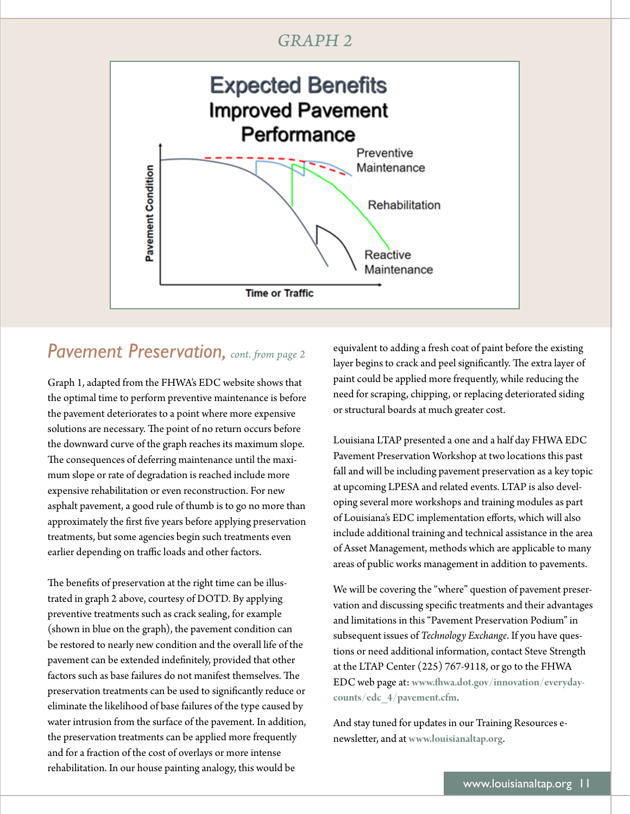### *GRAPH 2*



## *Pavement Preservation, cont. from page 2*

Graph 1, adapted from the FHWA's EDC website shows that the optimal time to perform preventive maintenance is before the pavement deteriorates to a point where more expensive solutions are necessary. The point of no return occurs before the downward curve of the graph reaches its maximum slope. The consequences of deferring maintenance until the maximum slope or rate of degradation is reached include more expensive rehabilitation or even reconstruction. For new asphalt pavement, a good rule of thumb is to go no more than approximately the frst fve years before applying preservation treatments, but some agencies begin such treatments even earlier depending on traffic loads and other factors.

The benefits of preservation at the right time can be illustrated in graph 2 above, courtesy of DOTD. By applying preventive treatments such as crack sealing, for example (shown in blue on the graph), the pavement condition can be restored to nearly new condition and the overall life of the pavement can be extended indefnitely, provided that other factors such as base failures do not manifest themselves. The preservation treatments can be used to signifcantly reduce or eliminate the likelihood of base failures of the type caused by water intrusion from the surface of the pavement. In addition, the preservation treatments can be applied more frequently and for a fraction of the cost of overlays or more intense rehabilitation. In our house painting analogy, this would be

equivalent to adding a fresh coat of paint before the existing layer begins to crack and peel significantly. The extra layer of paint could be applied more frequently, while reducing the need for scraping, chipping, or replacing deteriorated siding or structural boards at much greater cost.

Louisiana LTAP presented a one and a half day FHWA EDC Pavement Preservation Workshop at two locations this past fall and will be including pavement preservation as a key topic at upcoming LPESA and related events. LTAP is also developing several more workshops and training modules as part of Louisiana's EDC implementation eforts, which will also include additional training and technical assistance in the area of Asset Management, methods which are applicable to many areas of public works management in addition to pavements.

We will be covering the "where" question of pavement preservation and discussing specifc treatments and their advantages and limitations in this "Pavement Preservation Podium" in subsequent issues of *Technology Exchange*. If you have questions or need additional information, contact Steve Strength at the LTAP Center (225) 767-9118, or go to the FHWA EDC web page at: **[www.fwa.dot.gov/innovation/everyday](www.fhwa.dot.gov/innovation/everyday)counts/edc\_4/pavement.cfm**.

And stay tuned for updates in our Training Resources enewsleter, and at **<www.louisianaltap.org>**.